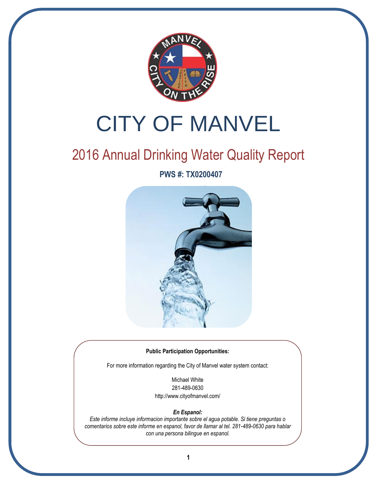

# CITY OF MANVEL

# 2016 Annual Drinking Water Quality Report

**PWS #: TX0200407**



#### **Public Participation Opportunities:**

For more information regarding the City of Manvel water system contact:

Michael White 281-489-0630 http://www.cityofmanvel.com/

#### *En Espanol:*

*Este informe incluye informacion importante sobre el agua potable. Si tiene preguntas o comentarios sobre este informe en espanol, favor de llamar al tel. 281-489-0630 para hablar con una persona bilingue en espanol.*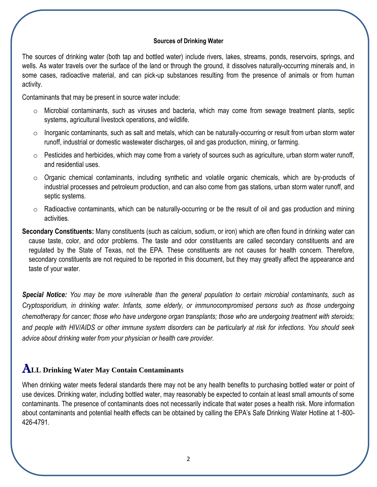#### **Sources of Drinking Water**

The sources of drinking water (both tap and bottled water) include rivers, lakes, streams, ponds, reservoirs, springs, and wells. As water travels over the surface of the land or through the ground, it dissolves naturally-occurring minerals and, in some cases, radioactive material, and can pick-up substances resulting from the presence of animals or from human activity.

Contaminants that may be present in source water include:

- o Microbial contaminants, such as viruses and bacteria, which may come from sewage treatment plants, septic systems, agricultural livestock operations, and wildlife.
- $\circ$  Inorganic contaminants, such as salt and metals, which can be naturally-occurring or result from urban storm water runoff, industrial or domestic wastewater discharges, oil and gas production, mining, or farming.
- $\circ$  Pesticides and herbicides, which may come from a variety of sources such as agriculture, urban storm water runoff, and residential uses.
- $\circ$  Organic chemical contaminants, including synthetic and volatile organic chemicals, which are by-products of industrial processes and petroleum production, and can also come from gas stations, urban storm water runoff, and septic systems.
- $\circ$  Radioactive contaminants, which can be naturally-occurring or be the result of oil and gas production and mining activities.

**Secondary Constituents:** Many constituents (such as calcium, sodium, or iron) which are often found in drinking water can cause taste, color, and odor problems. The taste and odor constituents are called secondary constituents and are regulated by the State of Texas, not the EPA. These constituents are not causes for health concern. Therefore, secondary constituents are not required to be reported in this document, but they may greatly affect the appearance and taste of your water.

*Special Notice: You may be more vulnerable than the general population to certain microbial contaminants, such as Cryptosporidium, in drinking water. Infants, some elderly, or immunocompromised persons such as those undergoing chemotherapy for cancer; those who have undergone organ transplants; those who are undergoing treatment with steroids; and people with HIV/AIDS or other immune system disorders can be particularly at risk for infections. You should seek advice about drinking water from your physician or health care provider.*

## A**LL Drinking Water May Contain Contaminants**

When drinking water meets federal standards there may not be any health benefits to purchasing bottled water or point of use devices. Drinking water, including bottled water, may reasonably be expected to contain at least small amounts of some contaminants. The presence of contaminants does not necessarily indicate that water poses a health risk. More information about contaminants and potential health effects can be obtained by calling the EPA's Safe Drinking Water Hotline at 1-800- 426-4791.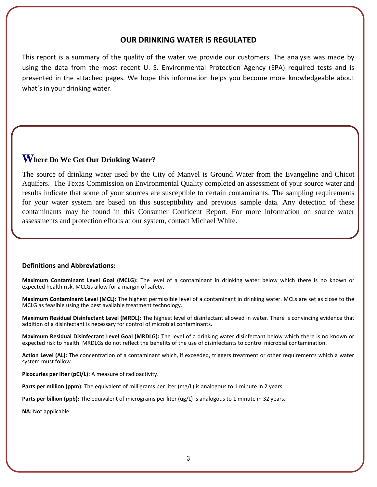#### **OUR DRINKING WATER IS REGULATED**

This report is a summary of the quality of the water we provide our customers. The analysis was made by using the data from the most recent U. S. Environmental Protection Agency (EPA) required tests and is presented in the attached pages. We hope this information helps you become more knowledgeable about what's in your drinking water.

### W**here Do We Get Our Drinking Water?**

l.

The source of drinking water used by the City of Manvel is Ground Water from the Evangeline and Chicot Aquifers. The Texas Commission on Environmental Quality completed an assessment of your source water and results indicate that some of your sources are susceptible to certain contaminants. The sampling requirements for your water system are based on this susceptibility and previous sample data. Any detection of these contaminants may be found in this Consumer Confident Report. For more information on source water assessments and protection efforts at our system, contact Michael White.

#### **Definitions and Abbreviations:**

**Maximum Contaminant Level Goal (MCLG):** The level of a contaminant in drinking water below which there is no known or expected health risk. MCLGs allow for a margin of safety.

**Maximum Contaminant Level (MCL):** The highest permissible level of a contaminant in drinking water. MCLs are set as close to the MCLG as feasible using the best available treatment technology.

**Maximum Residual Disinfectant Level (MRDL):** The highest level of disinfectant allowed in water. There is convincing evidence that addition of a disinfectant is necessary for control of microbial contaminants.

**Maximum Residual Disinfectant Level Goal (MRDLG):** The level of a drinking water disinfectant below which there is no known or expected risk to health. MRDLGs do not reflect the benefits of the use of disinfectants to control microbial contamination.

**Action Level (AL):** The concentration of a contaminant which, if exceeded, triggers treatment or other requirements which a water system must follow.

**Picocuries per liter (pCi/L):** A measure of radioactivity.

**Parts per million (ppm):** The equivalent of milligrams per liter (mg/L) is analogous to 1 minute in 2 years.

Parts per billion (ppb): The equivalent of micrograms per liter (ug/L) is analogous to 1 minute in 32 years.

**NA:** Not applicable.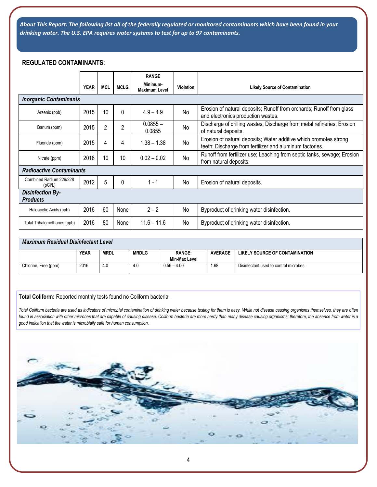*About This Report: The following list all of the federally regulated or monitored contaminants which have been found in your drinking water. The U.S. EPA requires water systems to test for up to 97 contaminants.*

#### **REGULATED CONTAMINANTS:**

|                                            |             |                |                | <b>RANGE</b>                     |           |                                                                                                                               |
|--------------------------------------------|-------------|----------------|----------------|----------------------------------|-----------|-------------------------------------------------------------------------------------------------------------------------------|
|                                            | <b>YEAR</b> | <b>MCL</b>     | <b>MCLG</b>    | Minimum-<br><b>Maximum Level</b> | Violation | <b>Likely Source of Contamination</b>                                                                                         |
| <b>Inorganic Contaminants</b>              |             |                |                |                                  |           |                                                                                                                               |
| Arsenic (ppb)                              | 2015        | 10             | $\Omega$       | $4.9 - 4.9$                      | No        | Erosion of natural deposits; Runoff from orchards; Runoff from glass<br>and electronics production wastes.                    |
| Barium (ppm)                               | 2015        | $\overline{2}$ | $\overline{2}$ | $0.0855 -$<br>0.0855             | No        | Discharge of drilling wastes; Discharge from metal refineries; Erosion<br>of natural deposits.                                |
| Fluoride (ppm)                             | 2015        | 4              | 4              | $1.38 - 1.38$                    | No        | Erosion of natural deposits; Water additive which promotes strong<br>teeth; Discharge from fertilizer and aluminum factories. |
| Nitrate (ppm)                              | 2016        | 10             | 10             | $0.02 - 0.02$                    | No        | Runoff from fertilizer use; Leaching from septic tanks, sewage; Erosion<br>from natural deposits.                             |
| <b>Radioactive Contaminants</b>            |             |                |                |                                  |           |                                                                                                                               |
| Combined Radium 226/228<br>(pCi/L)         | 2012        | 5              | $\Omega$       | $1 - 1$                          | No        | Erosion of natural deposits.                                                                                                  |
| <b>Disinfection By-</b><br><b>Products</b> |             |                |                |                                  |           |                                                                                                                               |
| Haloacetic Acids (ppb)                     | 2016        | 60             | None           | $2 - 2$                          | No.       | Byproduct of drinking water disinfection.                                                                                     |
| Total Trihalomethanes (ppb)                | 2016        | 80             | None           | $11.6 - 11.6$                    | No.       | Byproduct of drinking water disinfection.                                                                                     |

#### *Maximum Residual Disinfectant Level*

|                      | <b>YEAR</b><br><b>RANGE:</b><br><b>MRDLG</b><br><b>MRDL</b> |     |     |               | <b>AVERAGE</b> | LIKELY SOURCE OF CONTAMINATION         |
|----------------------|-------------------------------------------------------------|-----|-----|---------------|----------------|----------------------------------------|
|                      |                                                             |     |     | Min-Max Level |                |                                        |
| Chlorine, Free (ppm) | 2016                                                        | 4.0 | 4.0 | $0.56 - 4.00$ | .68            | Disinfectant used to control microbes. |

#### **Total Coliform:** Reported monthly tests found no Coliform bacteria.

*Total Coliform bacteria are used as indicators of microbial contamination of drinking water because testing for them is easy. While not disease causing organisms themselves, they are often found in association with other microbes that are capable of causing disease. Coliform bacteria are more hardy than many disease causing organisms; therefore, the absence from water is a good indication that the water is microbially safe for human consumption.*